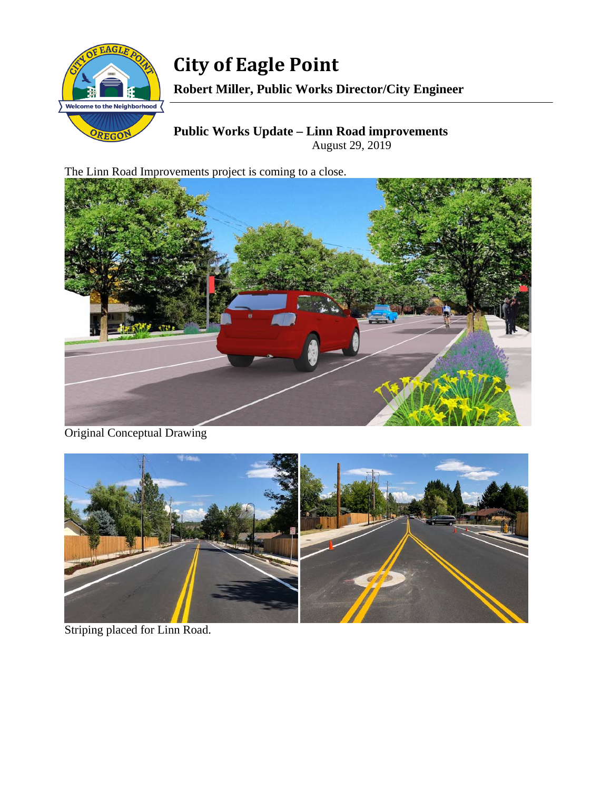

**City of Eagle Point Robert Miller, Public Works Director/City Engineer** 

**Public Works Update – Linn Road improvements**  August 29, 2019

The Linn Road Improvements project is coming to a close.



Original Conceptual Drawing



Striping placed for Linn Road.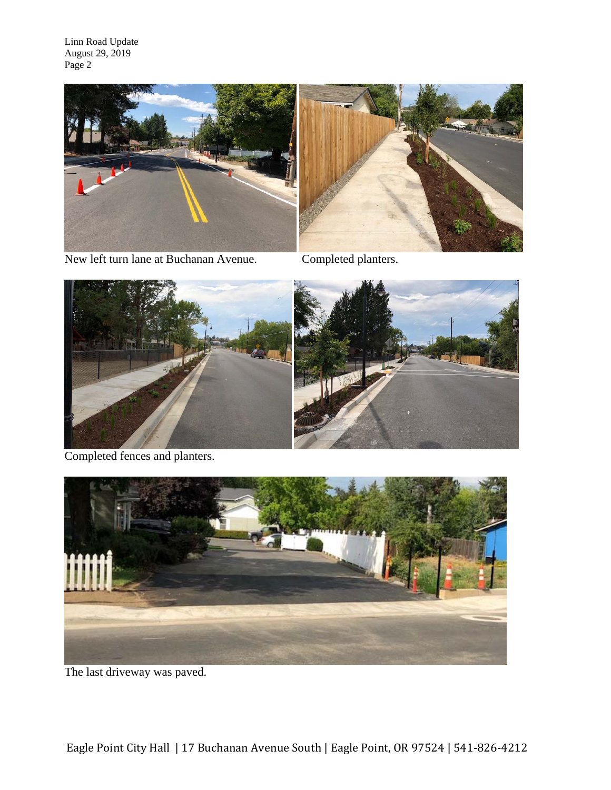



New left turn lane at Buchanan Avenue. Completed planters.



Completed fences and planters.



The last driveway was paved.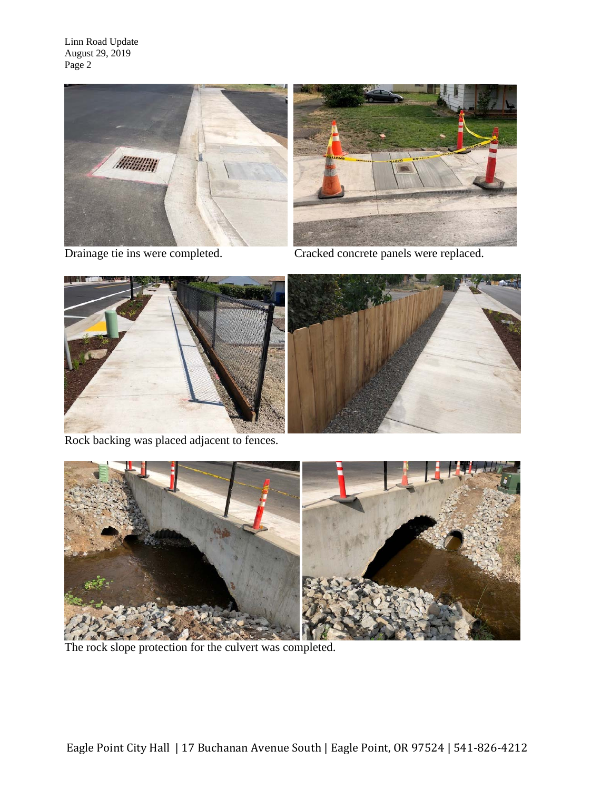





Drainage tie ins were completed. Cracked concrete panels were replaced.



Rock backing was placed adjacent to fences.



The rock slope protection for the culvert was completed.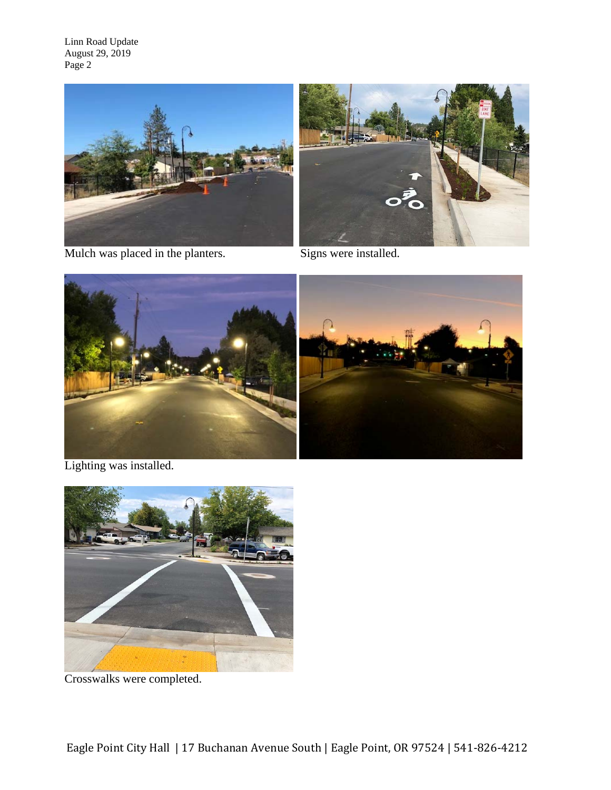



Mulch was placed in the planters. Signs were installed.



Lighting was installed.



Crosswalks were completed.